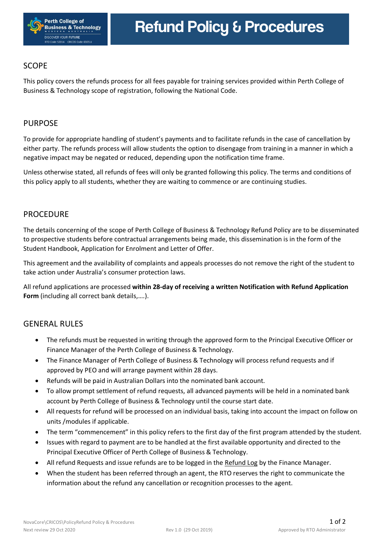

# SCOPE

This policy covers the refunds process for all fees payable for training services provided within Perth College of Business & Technology scope of registration, following the National Code.

## PURPOSE

To provide for appropriate handling of student's payments and to facilitate refunds in the case of cancellation by either party. The refunds process will allow students the option to disengage from training in a manner in which a negative impact may be negated or reduced, depending upon the notification time frame.

Unless otherwise stated, all refunds of fees will only be granted following this policy. The terms and conditions of this policy apply to all students, whether they are waiting to commence or are continuing studies.

#### **PROCEDURE**

The details concerning of the scope of Perth College of Business & Technology Refund Policy are to be disseminated to prospective students before contractual arrangements being made, this dissemination is in the form of the Student Handbook, Application for Enrolment and Letter of Offer.

This agreement and the availability of complaints and appeals processes do not remove the right of the student to take action under Australia's consumer protection laws.

All refund applications are processed **within 28-day of receiving a written Notification with Refund Application Form** (including all correct bank details,….).

## **GENERAL RULES**

- The refunds must be requested in writing through the approved form to the Principal Executive Officer or Finance Manager of the Perth College of Business & Technology.
- The Finance Manager of Perth College of Business & Technology will process refund requests and if approved by PEO and will arrange payment within 28 days.
- Refunds will be paid in Australian Dollars into the nominated bank account.
- To allow prompt settlement of refund requests, all advanced payments will be held in a nominated bank account by Perth College of Business & Technology until the course start date.
- All requests for refund will be processed on an individual basis, taking into account the impact on follow on units /modules if applicable.
- The term "commencement" in this policy refers to the first day of the first program attended by the student.
- Issues with regard to payment are to be handled at the first available opportunity and directed to the Principal Executive Officer of Perth College of Business & Technology.
- All refund Requests and issue refunds are to be logged in the Refund Log by the Finance Manager.
- When the student has been referred through an agent, the RTO reserves the right to communicate the information about the refund any cancellation or recognition processes to the agent.